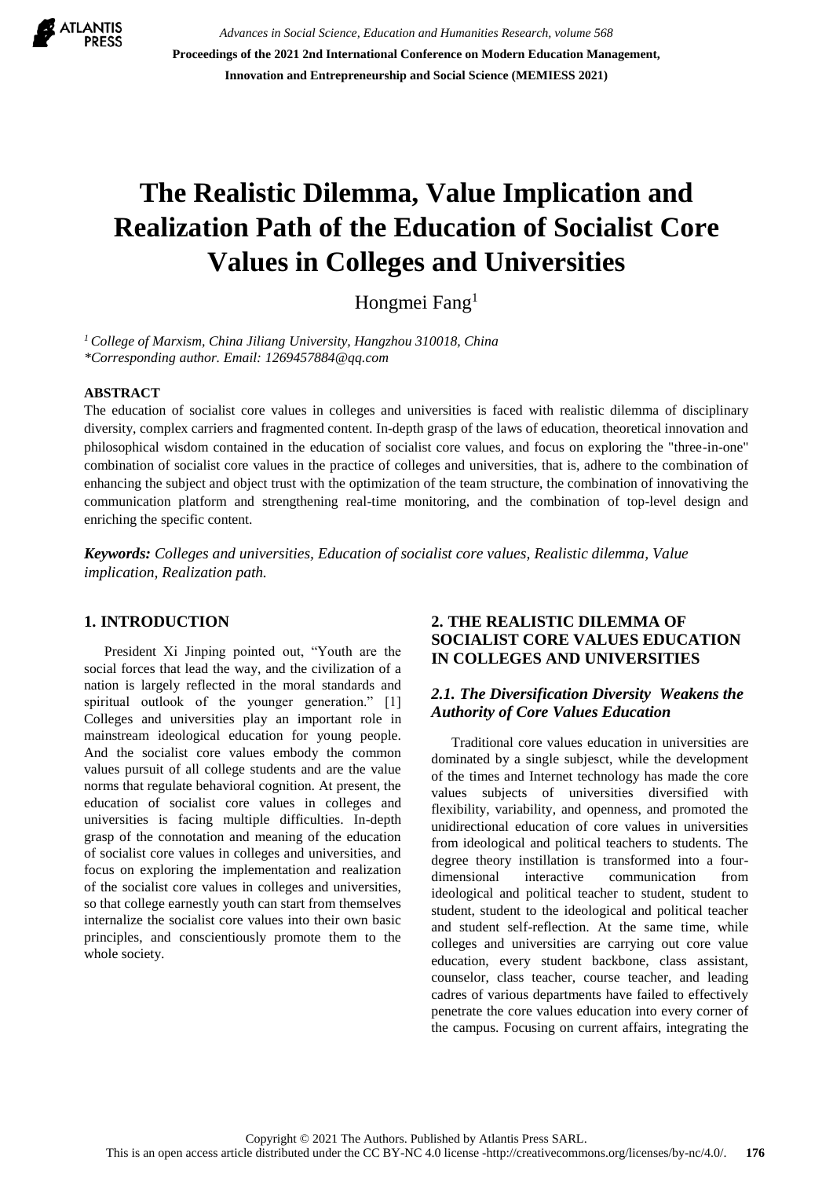

*Advances in Social Science, Education and Humanities Research, volume 568* **Proceedings of the 2021 2nd International Conference on Modern Education Management, Innovation and Entrepreneurship and Social Science (MEMIESS 2021)**

# **The Realistic Dilemma, Value Implication and Realization Path of the Education of Socialist Core Values in Colleges and Universities**

Hongmei Fang<sup>1</sup>

*<sup>1</sup>College of Marxism, China Jiliang University, Hangzhou 310018, China \*Corresponding author. Email: 1269457884@qq.com*

#### **ABSTRACT**

The education of socialist core values in colleges and universities is faced with realistic dilemma of disciplinary diversity, complex carriers and fragmented content. In-depth grasp of the laws of education, theoretical innovation and philosophical wisdom contained in the education of socialist core values, and focus on exploring the "three-in-one" combination of socialist core values in the practice of colleges and universities, that is, adhere to the combination of enhancing the subject and object trust with the optimization of the team structure, the combination of innovativing the communication platform and strengthening real-time monitoring, and the combination of top-level design and enriching the specific content.

*Keywords: Colleges and universities, Education of socialist core values, Realistic dilemma, Value implication, Realization path.*

#### **1. INTRODUCTION**

President Xi Jinping pointed out, "Youth are the social forces that lead the way, and the civilization of a nation is largely reflected in the moral standards and spiritual outlook of the younger generation." [1] Colleges and universities play an important role in mainstream ideological education for young people. And the socialist core values embody the common values pursuit of all college students and are the value norms that regulate behavioral cognition. At present, the education of socialist core values in colleges and universities is facing multiple difficulties. In-depth grasp of the connotation and meaning of the education of socialist core values in colleges and universities, and focus on exploring the implementation and realization of the socialist core values in colleges and universities, so that college earnestly youth can start from themselves internalize the socialist core values into their own basic principles, and conscientiously promote them to the whole society.

#### **2. THE REALISTIC DILEMMA OF SOCIALIST CORE VALUES EDUCATION IN COLLEGES AND UNIVERSITIES**

#### *2.1. The Diversification Diversity Weakens the Authority of Core Values Education*

Traditional core values education in universities are dominated by a single subjesct, while the development of the times and Internet technology has made the core values subjects of universities diversified with flexibility, variability, and openness, and promoted the unidirectional education of core values in universities from ideological and political teachers to students. The degree theory instillation is transformed into a fourdimensional interactive communication from ideological and political teacher to student, student to student, student to the ideological and political teacher and student self-reflection. At the same time, while colleges and universities are carrying out core value education, every student backbone, class assistant, counselor, class teacher, course teacher, and leading cadres of various departments have failed to effectively penetrate the core values education into every corner of the campus. Focusing on current affairs, integrating the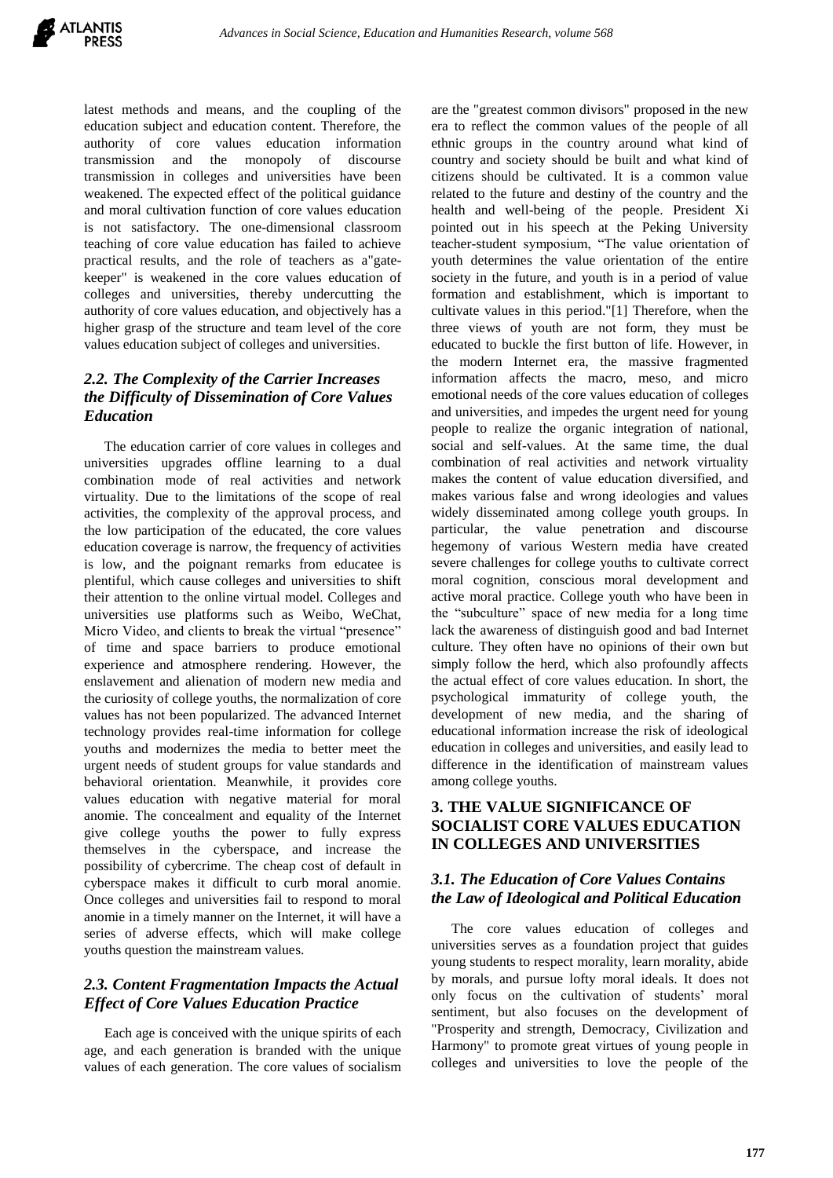latest methods and means, and the coupling of the education subject and education content. Therefore, the authority of core values education information transmission and the monopoly of discourse transmission in colleges and universities have been weakened. The expected effect of the political guidance and moral cultivation function of core values education is not satisfactory. The one-dimensional classroom teaching of core value education has failed to achieve practical results, and the role of teachers as a"gatekeeper" is weakened in the core values education of colleges and universities, thereby undercutting the authority of core values education, and objectively has a higher grasp of the structure and team level of the core values education subject of colleges and universities.

## *2.2. The Complexity of the Carrier Increases the Difficulty of Dissemination of Core Values Education*

The education carrier of core values in colleges and universities upgrades offline learning to a dual combination mode of real activities and network virtuality. Due to the limitations of the scope of real activities, the complexity of the approval process, and the low participation of the educated, the core values education coverage is narrow, the frequency of activities is low, and the poignant remarks from educatee is plentiful, which cause colleges and universities to shift their attention to the online virtual model. Colleges and universities use platforms such as Weibo, WeChat, Micro Video, and clients to break the virtual "presence" of time and space barriers to produce emotional experience and atmosphere rendering. However, the enslavement and alienation of modern new media and the curiosity of college youths, the normalization of core values has not been popularized. The advanced Internet technology provides real-time information for college youths and modernizes the media to better meet the urgent needs of student groups for value standards and behavioral orientation. Meanwhile, it provides core values education with negative material for moral anomie. The concealment and equality of the Internet give college youths the power to fully express themselves in the cyberspace, and increase the possibility of cybercrime. The cheap cost of default in cyberspace makes it difficult to curb moral anomie. Once colleges and universities fail to respond to moral anomie in a timely manner on the Internet, it will have a series of adverse effects, which will make college youths question the mainstream values.

#### *2.3. Content Fragmentation Impacts the Actual Effect of Core Values Education Practice*

Each age is conceived with the unique spirits of each age, and each generation is branded with the unique values of each generation. The core values of socialism are the "greatest common divisors" proposed in the new era to reflect the common values of the people of all ethnic groups in the country around what kind of country and society should be built and what kind of citizens should be cultivated. It is a common value related to the future and destiny of the country and the health and well-being of the people. President Xi pointed out in his speech at the Peking University teacher-student symposium, "The value orientation of youth determines the value orientation of the entire society in the future, and youth is in a period of value formation and establishment, which is important to cultivate values in this period."[1] Therefore, when the three views of youth are not form, they must be educated to buckle the first button of life. However, in the modern Internet era, the massive fragmented information affects the macro, meso, and micro emotional needs of the core values education of colleges and universities, and impedes the urgent need for young people to realize the organic integration of national, social and self-values. At the same time, the dual combination of real activities and network virtuality makes the content of value education diversified, and makes various false and wrong ideologies and values widely disseminated among college youth groups. In particular, the value penetration and discourse hegemony of various Western media have created severe challenges for college youths to cultivate correct moral cognition, conscious moral development and active moral practice. College youth who have been in the "subculture" space of new media for a long time lack the awareness of distinguish good and bad Internet culture. They often have no opinions of their own but simply follow the herd, which also profoundly affects the actual effect of core values education. In short, the psychological immaturity of college youth, the development of new media, and the sharing of educational information increase the risk of ideological education in colleges and universities, and easily lead to difference in the identification of mainstream values among college youths.

## **3. THE VALUE SIGNIFICANCE OF SOCIALIST CORE VALUES EDUCATION IN COLLEGES AND UNIVERSITIES**

#### *3.1. The Education of Core Values Contains the Law of Ideological and Political Education*

The core values education of colleges and universities serves as a foundation project that guides young students to respect morality, learn morality, abide by morals, and pursue lofty moral ideals. It does not only focus on the cultivation of students' moral sentiment, but also focuses on the development of "Prosperity and strength, Democracy, Civilization and Harmony" to promote great virtues of young people in colleges and universities to love the people of the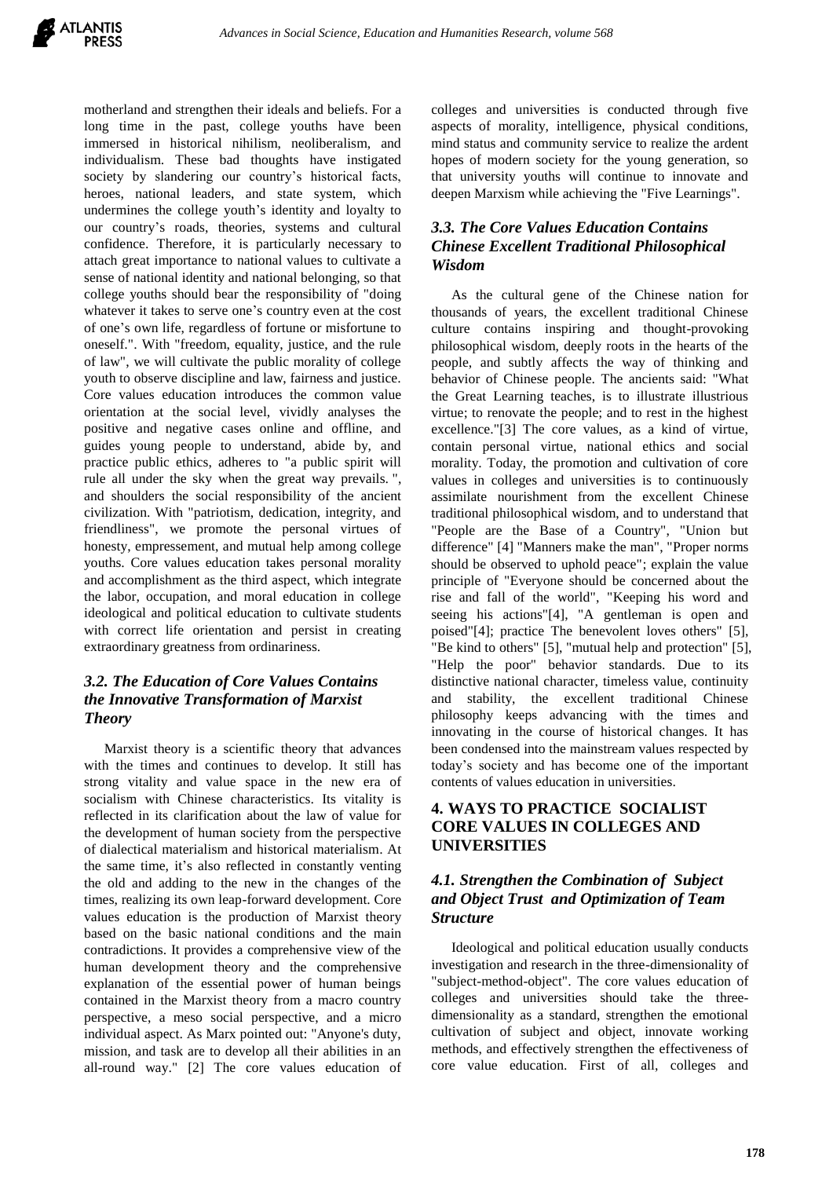

motherland and strengthen their ideals and beliefs. For a long time in the past, college youths have been immersed in historical nihilism, neoliberalism, and individualism. These bad thoughts have instigated society by slandering our country's historical facts, heroes, national leaders, and state system, which undermines the college youth's identity and loyalty to our country's roads, theories, systems and cultural confidence. Therefore, it is particularly necessary to attach great importance to national values to cultivate a sense of national identity and national belonging, so that college youths should bear the responsibility of "doing whatever it takes to serve one's country even at the cost of one's own life, regardless of fortune or misfortune to oneself.". With "freedom, equality, justice, and the rule of law", we will cultivate the public morality of college youth to observe discipline and law, fairness and justice. Core values education introduces the common value orientation at the social level, vividly analyses the positive and negative cases online and offline, and guides young people to understand, abide by, and practice public ethics, adheres to "a public spirit will rule all under the sky when the great way prevails. ", and shoulders the social responsibility of the ancient civilization. With "patriotism, dedication, integrity, and friendliness", we promote the personal virtues of honesty, empressement, and mutual help among college youths. Core values education takes personal morality and accomplishment as the third aspect, which integrate the labor, occupation, and moral education in college ideological and political education to cultivate students with correct life orientation and persist in creating extraordinary greatness from ordinariness.

#### *3.2. The Education of Core Values Contains the Innovative Transformation of Marxist Theory*

Marxist theory is a scientific theory that advances with the times and continues to develop. It still has strong vitality and value space in the new era of socialism with Chinese characteristics. Its vitality is reflected in its clarification about the law of value for the development of human society from the perspective of dialectical materialism and historical materialism. At the same time, it's also reflected in constantly venting the old and adding to the new in the changes of the times, realizing its own leap-forward development. Core values education is the production of Marxist theory based on the basic national conditions and the main contradictions. It provides a comprehensive view of the human development theory and the comprehensive explanation of the essential power of human beings contained in the Marxist theory from a macro country perspective, a meso social perspective, and a micro individual aspect. As Marx pointed out: "Anyone's duty, mission, and task are to develop all their abilities in an all-round way." [2] The core values education of colleges and universities is conducted through five aspects of morality, intelligence, physical conditions, mind status and community service to realize the ardent hopes of modern society for the young generation, so that university youths will continue to innovate and deepen Marxism while achieving the "Five Learnings".

# *3.3. The Core Values Education Contains Chinese Excellent Traditional Philosophical Wisdom*

As the cultural gene of the Chinese nation for thousands of years, the excellent traditional Chinese culture contains inspiring and thought-provoking philosophical wisdom, deeply roots in the hearts of the people, and subtly affects the way of thinking and behavior of Chinese people. The ancients said: "What the Great Learning teaches, is to illustrate illustrious virtue; to renovate the people; and to rest in the highest excellence."[3] The core values, as a kind of virtue, contain personal virtue, national ethics and social morality. Today, the promotion and cultivation of core values in colleges and universities is to continuously assimilate nourishment from the excellent Chinese traditional philosophical wisdom, and to understand that "People are the Base of a Country", "Union but difference" [4] "Manners make the man", "Proper norms should be observed to uphold peace"; explain the value principle of "Everyone should be concerned about the rise and fall of the world", "Keeping his word and seeing his actions"[4], "A gentleman is open and poised"[4]; practice The benevolent loves others" [5], "Be kind to others" [5], "mutual help and protection" [5], "Help the poor" behavior standards. Due to its distinctive national character, timeless value, continuity and stability, the excellent traditional Chinese philosophy keeps advancing with the times and innovating in the course of historical changes. It has been condensed into the mainstream values respected by today's society and has become one of the important contents of values education in universities.

# **4. WAYS TO PRACTICE SOCIALIST CORE VALUES IN COLLEGES AND UNIVERSITIES**

## *4.1. Strengthen the Combination of Subject and Object Trust and Optimization of Team Structure*

Ideological and political education usually conducts investigation and research in the three-dimensionality of "subject-method-object". The core values education of colleges and universities should take the threedimensionality as a standard, strengthen the emotional cultivation of subject and object, innovate working methods, and effectively strengthen the effectiveness of core value education. First of all, colleges and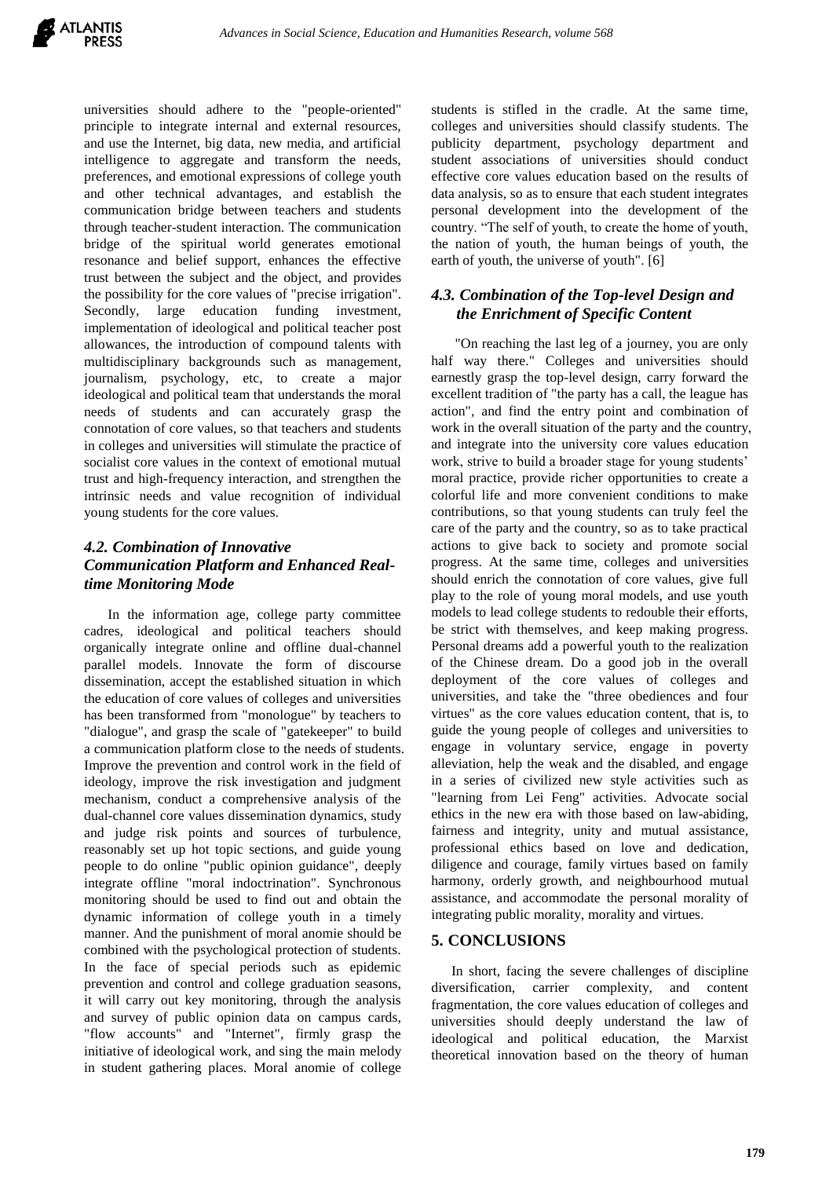

universities should adhere to the "people-oriented" principle to integrate internal and external resources, and use the Internet, big data, new media, and artificial intelligence to aggregate and transform the needs, preferences, and emotional expressions of college youth and other technical advantages, and establish the communication bridge between teachers and students through teacher-student interaction. The communication bridge of the spiritual world generates emotional resonance and belief support, enhances the effective trust between the subject and the object, and provides the possibility for the core values of "precise irrigation". Secondly, large education funding investment, implementation of ideological and political teacher post allowances, the introduction of compound talents with multidisciplinary backgrounds such as management, journalism, psychology, etc, to create a major ideological and political team that understands the moral needs of students and can accurately grasp the connotation of core values, so that teachers and students in colleges and universities will stimulate the practice of socialist core values in the context of emotional mutual trust and high-frequency interaction, and strengthen the intrinsic needs and value recognition of individual young students for the core values.

## *4.2. Combination of Innovative Communication Platform and Enhanced Realtime Monitoring Mode*

In the information age, college party committee cadres, ideological and political teachers should organically integrate online and offline dual-channel parallel models. Innovate the form of discourse dissemination, accept the established situation in which the education of core values of colleges and universities has been transformed from "monologue" by teachers to "dialogue", and grasp the scale of "gatekeeper" to build a communication platform close to the needs of students. Improve the prevention and control work in the field of ideology, improve the risk investigation and judgment mechanism, conduct a comprehensive analysis of the dual-channel core values dissemination dynamics, study and judge risk points and sources of turbulence, reasonably set up hot topic sections, and guide young people to do online "public opinion guidance", deeply integrate offline "moral indoctrination". Synchronous monitoring should be used to find out and obtain the dynamic information of college youth in a timely manner. And the punishment of moral anomie should be combined with the psychological protection of students. In the face of special periods such as epidemic prevention and control and college graduation seasons, it will carry out key monitoring, through the analysis and survey of public opinion data on campus cards, "flow accounts" and "Internet", firmly grasp the initiative of ideological work, and sing the main melody in student gathering places. Moral anomie of college

students is stifled in the cradle. At the same time, colleges and universities should classify students. The publicity department, psychology department and student associations of universities should conduct effective core values education based on the results of data analysis, so as to ensure that each student integrates personal development into the development of the country. "The self of youth, to create the home of youth, the nation of youth, the human beings of youth, the earth of youth, the universe of youth". [6]

#### *4.3. Combination of the Top-level Design and the Enrichment of Specific Content*

"On reaching the last leg of a journey, you are only half way there." Colleges and universities should earnestly grasp the top-level design, carry forward the excellent tradition of "the party has a call, the league has action", and find the entry point and combination of work in the overall situation of the party and the country, and integrate into the university core values education work, strive to build a broader stage for young students' moral practice, provide richer opportunities to create a colorful life and more convenient conditions to make contributions, so that young students can truly feel the care of the party and the country, so as to take practical actions to give back to society and promote social progress. At the same time, colleges and universities should enrich the connotation of core values, give full play to the role of young moral models, and use youth models to lead college students to redouble their efforts, be strict with themselves, and keep making progress. Personal dreams add a powerful youth to the realization of the Chinese dream. Do a good job in the overall deployment of the core values of colleges and universities, and take the "three obediences and four virtues" as the core values education content, that is, to guide the young people of colleges and universities to engage in voluntary service, engage in poverty alleviation, help the weak and the disabled, and engage in a series of civilized new style activities such as "learning from Lei Feng" activities. Advocate social ethics in the new era with those based on law-abiding, fairness and integrity, unity and mutual assistance, professional ethics based on love and dedication, diligence and courage, family virtues based on family harmony, orderly growth, and neighbourhood mutual assistance, and accommodate the personal morality of integrating public morality, morality and virtues.

#### **5. CONCLUSIONS**

In short, facing the severe challenges of discipline diversification, carrier complexity, and content fragmentation, the core values education of colleges and universities should deeply understand the law of ideological and political education, the Marxist theoretical innovation based on the theory of human